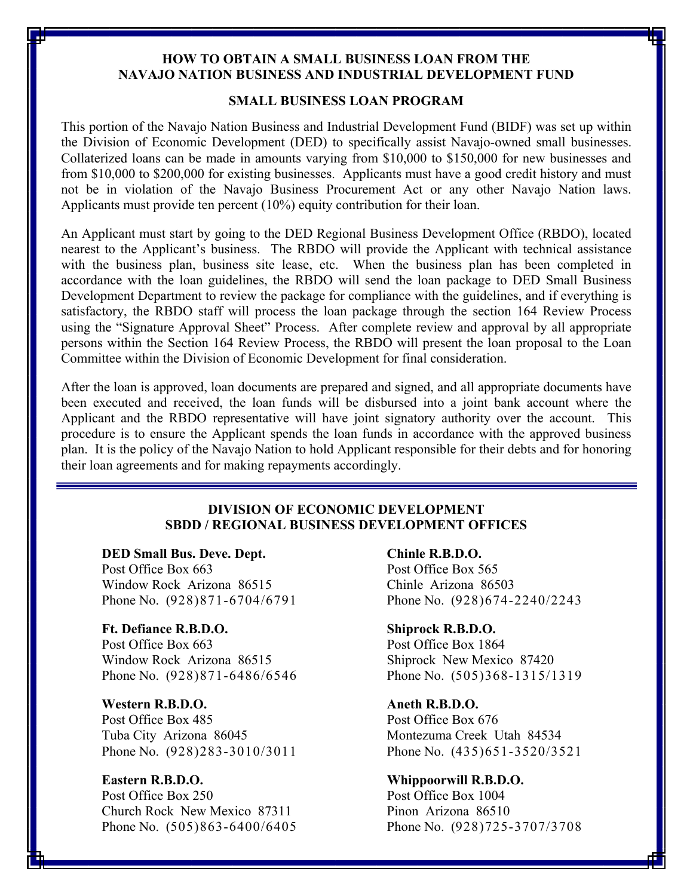# **HOW TO OBTAIN A SMALL BUSINESS LOAN FROM THE NAVAJO NATION BUSINESS AND INDUSTRIAL DEVELOPMENT FUND**

# **SMALL BUSINESS LOAN PROGRAM**

This portion of the Navajo Nation Business and Industrial Development Fund (BIDF) was set up within the Division of Economic Development (DED) to specifically assist Navajo-owned small businesses. Collaterized loans can be made in amounts varying from \$10,000 to \$150,000 for new businesses and from \$10,000 to \$200,000 for existing businesses. Applicants must have a good credit history and must not be in violation of the Navajo Business Procurement Act or any other Navajo Nation laws. Applicants must provide ten percent (10%) equity contribution for their loan.

An Applicant must start by going to the DED Regional Business Development Office (RBDO), located nearest to the Applicant's business. The RBDO will provide the Applicant with technical assistance with the business plan, business site lease, etc. When the business plan has been completed in accordance with the loan guidelines, the RBDO will send the loan package to DED Small Business Development Department to review the package for compliance with the guidelines, and if everything is satisfactory, the RBDO staff will process the loan package through the section 164 Review Process using the "Signature Approval Sheet" Process. After complete review and approval by all appropriate persons within the Section 164 Review Process, the RBDO will present the loan proposal to the Loan Committee within the Division of Economic Development for final consideration.

After the loan is approved, loan documents are prepared and signed, and all appropriate documents have been executed and received, the loan funds will be disbursed into a joint bank account where the Applicant and the RBDO representative will have joint signatory authority over the account. This procedure is to ensure the Applicant spends the loan funds in accordance with the approved business plan. It is the policy of the Navajo Nation to hold Applicant responsible for their debts and for honoring their loan agreements and for making repayments accordingly.

# **DIVISION OF ECONOMIC DEVELOPMENT SBDD / REGIONAL BUSINESS DEVELOPMENT OFFICES**

### **DED Small Bus. Deve. Dept. Chinle R.B.D.O.**

Post Office Box 663 Post Office Box 565 Window Rock Arizona 86515 Chinle Arizona 86503

# **Ft. Defiance R.B.D.O. Shiprock R.B.D.O.**  Post Office Box 663 Post Office Box 1864 Window Rock Arizona 86515 Shiprock New Mexico 87420

# **Western R.B.D.O. Aneth R.B.D.O.**

Post Office Box 485 Post Office Box 676 Tuba City Arizona 86045 Montezuma Creek Utah 84534

Post Office Box 250 Post Office Box 1004 Church Rock New Mexico 87311 Pinon Arizona 86510

Phone No. (928)871-6704/6791 Phone No. (928)674-2240/2243

Phone No. (928)871-6486/6546 Phone No. (505)368-1315/1319

Phone No. (928)283-3010/3011 Phone No. (435)651-3520/3521

#### **Eastern R.B.D.O. Whippoorwill R.B.D.O.**

Phone No. (505)863-6400/6405 Phone No. (928)725-3707/3708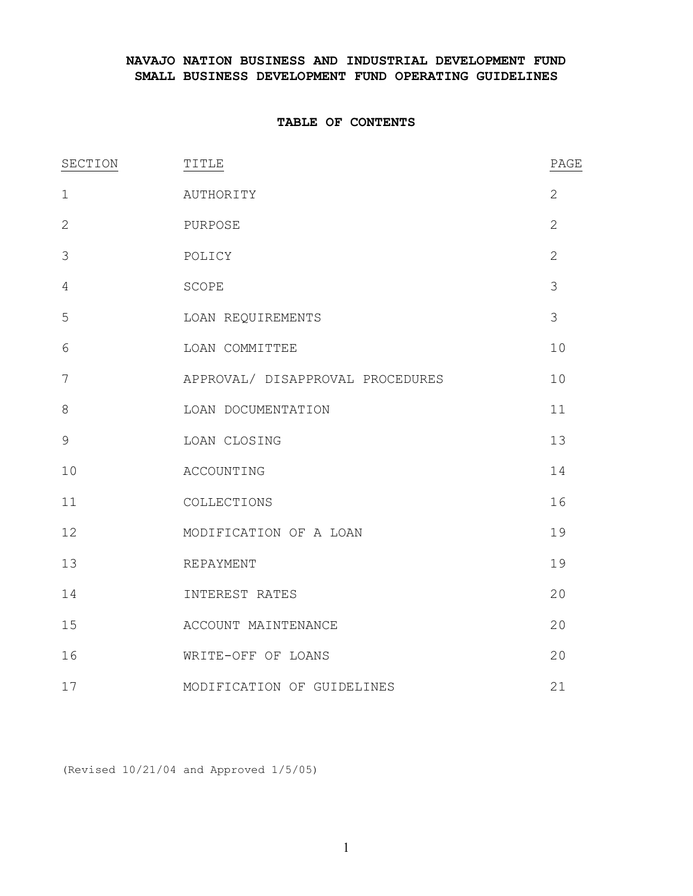# **NAVAJO NATION BUSINESS AND INDUSTRIAL DEVELOPMENT FUND SMALL BUSINESS DEVELOPMENT FUND OPERATING GUIDELINES**

### **TABLE OF CONTENTS**

| SECTION      | TITLE                            | PAGE           |
|--------------|----------------------------------|----------------|
| $\mathbf 1$  | AUTHORITY                        | $\overline{2}$ |
| $\mathbf{2}$ | PURPOSE                          | $\overline{2}$ |
| 3            | POLICY                           | $\overline{2}$ |
| 4            | SCOPE                            | 3              |
| 5            | LOAN REQUIREMENTS                | 3              |
| 6            | LOAN COMMITTEE                   | 10             |
| 7            | APPROVAL/ DISAPPROVAL PROCEDURES | 10             |
| $\,8\,$      | LOAN DOCUMENTATION               | 11             |
| $\mathsf 9$  | LOAN CLOSING                     | 13             |
| 10           | ACCOUNTING                       | 14             |
| 11           | COLLECTIONS                      | 16             |
| 12           | MODIFICATION OF A LOAN           | 19             |
| 13           | REPAYMENT                        | 19             |
| 14           | INTEREST RATES                   | 20             |
| 15           | ACCOUNT MAINTENANCE              | 20             |
| 16           | WRITE-OFF OF LOANS               | 20             |
| 17           | MODIFICATION OF GUIDELINES       | 21             |

(Revised 10/21/04 and Approved 1/5/05)

1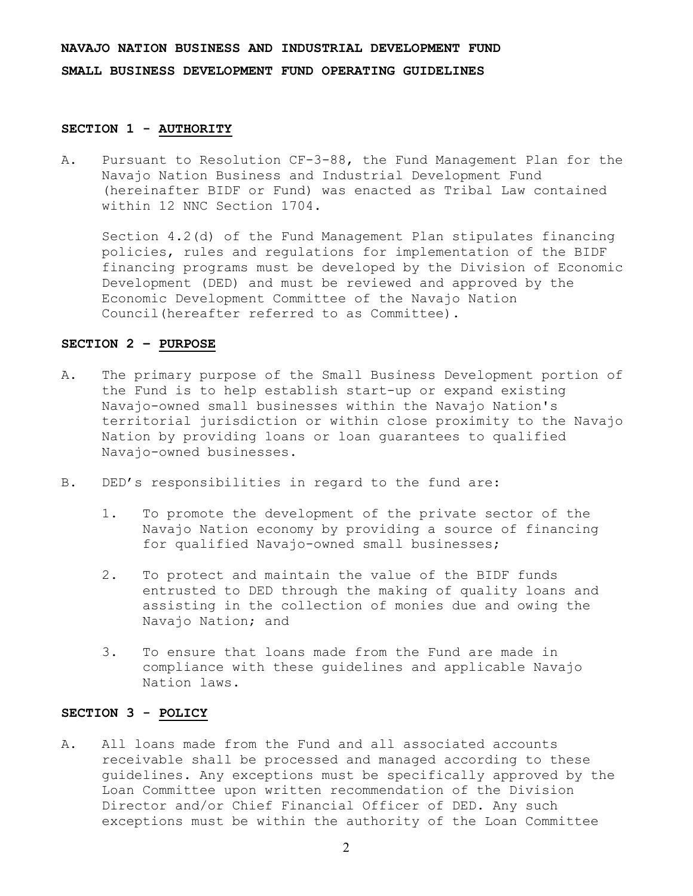### **SECTION 1 - AUTHORITY**

A. Pursuant to Resolution CF-3-88, the Fund Management Plan for the Navajo Nation Business and Industrial Development Fund (hereinafter BIDF or Fund) was enacted as Tribal Law contained within 12 NNC Section 1704.

Section 4.2(d) of the Fund Management Plan stipulates financing policies, rules and regulations for implementation of the BIDF financing programs must be developed by the Division of Economic Development (DED) and must be reviewed and approved by the Economic Development Committee of the Navajo Nation Council(hereafter referred to as Committee).

#### **SECTION 2 – PURPOSE**

- A. The primary purpose of the Small Business Development portion of the Fund is to help establish start-up or expand existing Navajo-owned small businesses within the Navajo Nation's territorial jurisdiction or within close proximity to the Navajo Nation by providing loans or loan guarantees to qualified Navajo-owned businesses.
- B. DED's responsibilities in regard to the fund are:
	- 1. To promote the development of the private sector of the Navajo Nation economy by providing a source of financing for qualified Navajo-owned small businesses;
	- 2. To protect and maintain the value of the BIDF funds entrusted to DED through the making of quality loans and assisting in the collection of monies due and owing the Navajo Nation; and
	- 3. To ensure that loans made from the Fund are made in compliance with these guidelines and applicable Navajo Nation laws.

#### **SECTION 3 - POLICY**

A. All loans made from the Fund and all associated accounts receivable shall be processed and managed according to these guidelines. Any exceptions must be specifically approved by the Loan Committee upon written recommendation of the Division Director and/or Chief Financial Officer of DED. Any such exceptions must be within the authority of the Loan Committee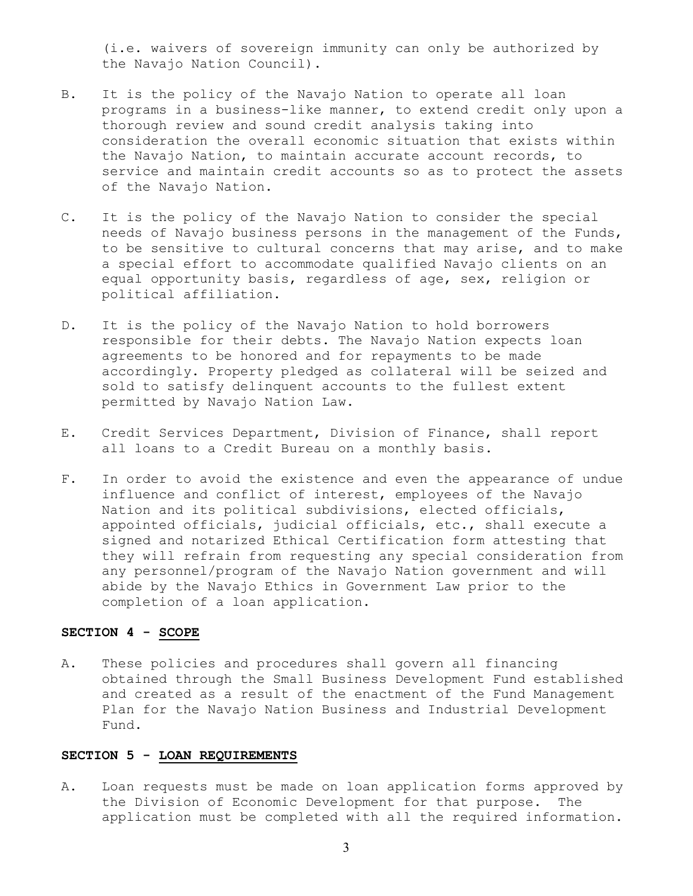(i.e. waivers of sovereign immunity can only be authorized by the Navajo Nation Council).

- B. It is the policy of the Navajo Nation to operate all loan programs in a business-like manner, to extend credit only upon a thorough review and sound credit analysis taking into consideration the overall economic situation that exists within the Navajo Nation, to maintain accurate account records, to service and maintain credit accounts so as to protect the assets of the Navajo Nation.
- C. It is the policy of the Navajo Nation to consider the special needs of Navajo business persons in the management of the Funds, to be sensitive to cultural concerns that may arise, and to make a special effort to accommodate qualified Navajo clients on an equal opportunity basis, regardless of age, sex, religion or political affiliation.
- D. It is the policy of the Navajo Nation to hold borrowers responsible for their debts. The Navajo Nation expects loan agreements to be honored and for repayments to be made accordingly. Property pledged as collateral will be seized and sold to satisfy delinquent accounts to the fullest extent permitted by Navajo Nation Law.
- E. Credit Services Department, Division of Finance, shall report all loans to a Credit Bureau on a monthly basis.
- F. In order to avoid the existence and even the appearance of undue influence and conflict of interest, employees of the Navajo Nation and its political subdivisions, elected officials, appointed officials, judicial officials, etc., shall execute a signed and notarized Ethical Certification form attesting that they will refrain from requesting any special consideration from any personnel/program of the Navajo Nation government and will abide by the Navajo Ethics in Government Law prior to the completion of a loan application.

### **SECTION 4 - SCOPE**

A. These policies and procedures shall govern all financing obtained through the Small Business Development Fund established and created as a result of the enactment of the Fund Management Plan for the Navajo Nation Business and Industrial Development Fund.

#### **SECTION 5 - LOAN REQUIREMENTS**

A. Loan requests must be made on loan application forms approved by the Division of Economic Development for that purpose. The application must be completed with all the required information.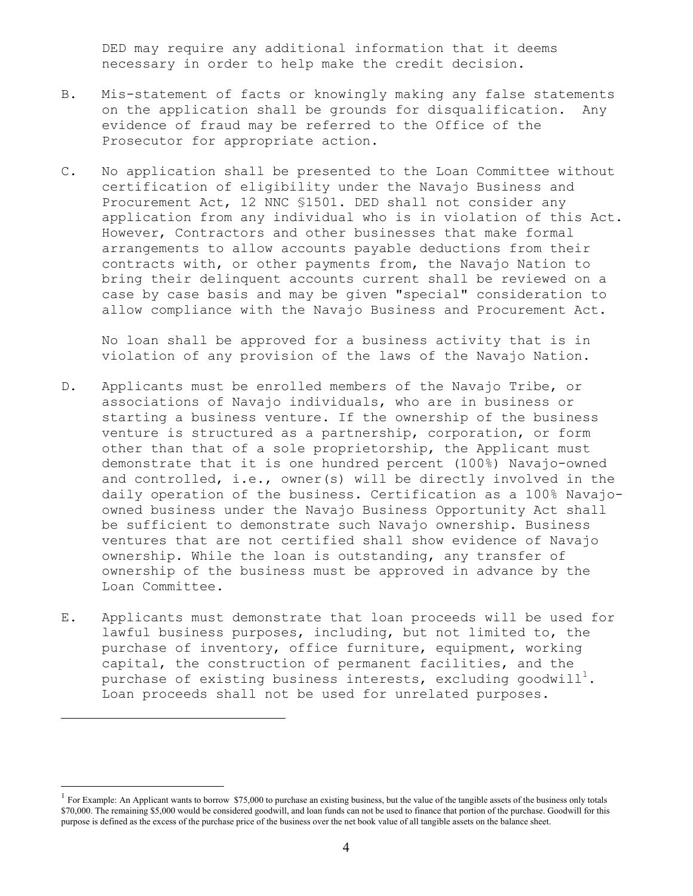DED may require any additional information that it deems necessary in order to help make the credit decision.

- B. Mis-statement of facts or knowingly making any false statements on the application shall be grounds for disqualification. Any evidence of fraud may be referred to the Office of the Prosecutor for appropriate action.
- C. No application shall be presented to the Loan Committee without certification of eligibility under the Navajo Business and Procurement Act, 12 NNC §1501. DED shall not consider any application from any individual who is in violation of this Act. However, Contractors and other businesses that make formal arrangements to allow accounts payable deductions from their contracts with, or other payments from, the Navajo Nation to bring their delinquent accounts current shall be reviewed on a case by case basis and may be given "special" consideration to allow compliance with the Navajo Business and Procurement Act.

No loan shall be approved for a business activity that is in violation of any provision of the laws of the Navajo Nation.

- D. Applicants must be enrolled members of the Navajo Tribe, or associations of Navajo individuals, who are in business or starting a business venture. If the ownership of the business venture is structured as a partnership, corporation, or form other than that of a sole proprietorship, the Applicant must demonstrate that it is one hundred percent (100%) Navajo-owned and controlled, i.e., owner(s) will be directly involved in the daily operation of the business. Certification as a 100% Navajoowned business under the Navajo Business Opportunity Act shall be sufficient to demonstrate such Navajo ownership. Business ventures that are not certified shall show evidence of Navajo ownership. While the loan is outstanding, any transfer of ownership of the business must be approved in advance by the Loan Committee.
- E. Applicants must demonstrate that loan proceeds will be used for lawful business purposes, including, but not limited to, the purchase of inventory, office furniture, equipment, working capital, the construction of permanent facilities, and the purchase of existing business interests, excluding goodwill $^1.$ Loan proceeds shall not be used for unrelated purposes.

 $\overline{a}$ 

<sup>1</sup> For Example: An Applicant wants to borrow \$75,000 to purchase an existing business, but the value of the tangible assets of the business only totals \$70,000. The remaining \$5,000 would be considered goodwill, and loan funds can not be used to finance that portion of the purchase. Goodwill for this purpose is defined as the excess of the purchase price of the business over the net book value of all tangible assets on the balance sheet.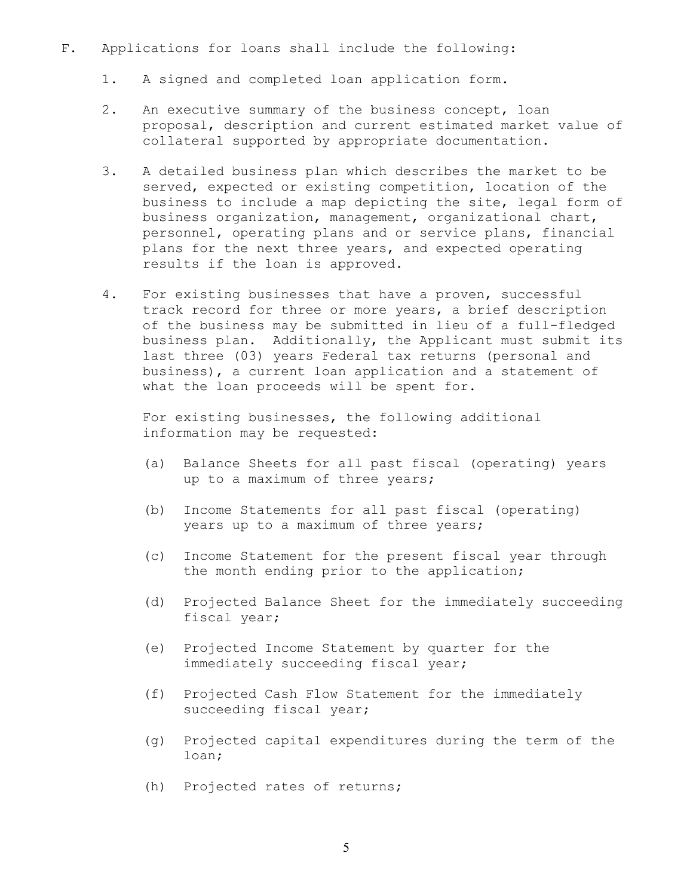#### F. Applications for loans shall include the following:

- 1. A signed and completed loan application form.
- 2. An executive summary of the business concept, loan proposal, description and current estimated market value of collateral supported by appropriate documentation.
- 3. A detailed business plan which describes the market to be served, expected or existing competition, location of the business to include a map depicting the site, legal form of business organization, management, organizational chart, personnel, operating plans and or service plans, financial plans for the next three years, and expected operating results if the loan is approved.
- 4. For existing businesses that have a proven, successful track record for three or more years, a brief description of the business may be submitted in lieu of a full-fledged business plan. Additionally, the Applicant must submit its last three (03) years Federal tax returns (personal and business), a current loan application and a statement of what the loan proceeds will be spent for.

 For existing businesses, the following additional information may be requested:

- (a) Balance Sheets for all past fiscal (operating) years up to a maximum of three years;
- (b) Income Statements for all past fiscal (operating) years up to a maximum of three years;
- (c) Income Statement for the present fiscal year through the month ending prior to the application;
- (d) Projected Balance Sheet for the immediately succeeding fiscal year;
- (e) Projected Income Statement by quarter for the immediately succeeding fiscal year;
- (f) Projected Cash Flow Statement for the immediately succeeding fiscal year;
- (g) Projected capital expenditures during the term of the loan;
- (h) Projected rates of returns;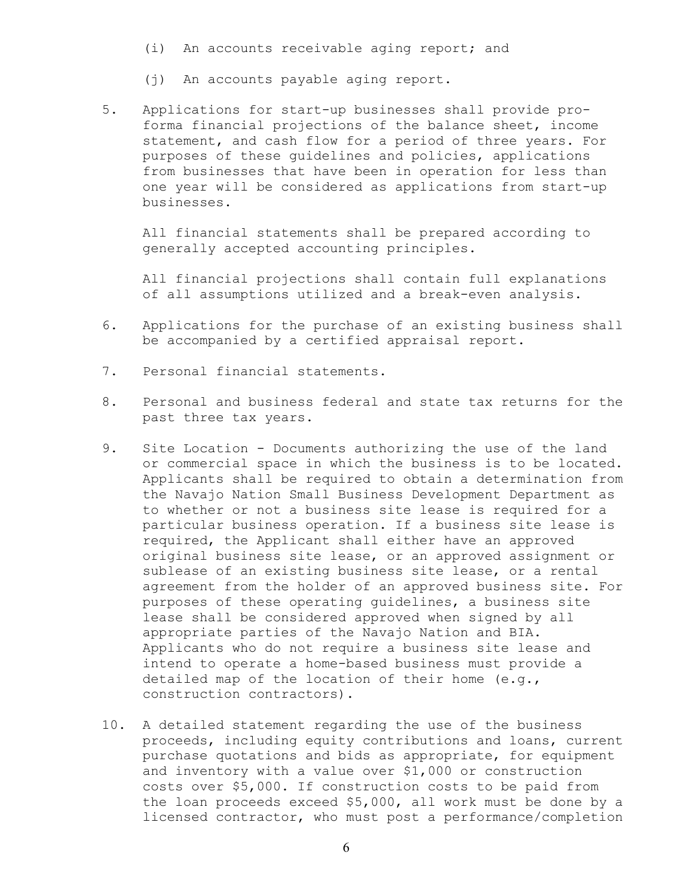- (i) An accounts receivable aging report; and
- (j) An accounts payable aging report.
- 5. Applications for start-up businesses shall provide proforma financial projections of the balance sheet, income statement, and cash flow for a period of three years. For purposes of these guidelines and policies, applications from businesses that have been in operation for less than one year will be considered as applications from start-up businesses.

 All financial statements shall be prepared according to generally accepted accounting principles.

 All financial projections shall contain full explanations of all assumptions utilized and a break-even analysis.

- 6. Applications for the purchase of an existing business shall be accompanied by a certified appraisal report.
- 7. Personal financial statements.
- 8. Personal and business federal and state tax returns for the past three tax years.
- 9. Site Location Documents authorizing the use of the land or commercial space in which the business is to be located. Applicants shall be required to obtain a determination from the Navajo Nation Small Business Development Department as to whether or not a business site lease is required for a particular business operation. If a business site lease is required, the Applicant shall either have an approved original business site lease, or an approved assignment or sublease of an existing business site lease, or a rental agreement from the holder of an approved business site. For purposes of these operating guidelines, a business site lease shall be considered approved when signed by all appropriate parties of the Navajo Nation and BIA. Applicants who do not require a business site lease and intend to operate a home-based business must provide a detailed map of the location of their home (e.g., construction contractors).
- 10. A detailed statement regarding the use of the business proceeds, including equity contributions and loans, current purchase quotations and bids as appropriate, for equipment and inventory with a value over \$1,000 or construction costs over \$5,000. If construction costs to be paid from the loan proceeds exceed \$5,000, all work must be done by a licensed contractor, who must post a performance/completion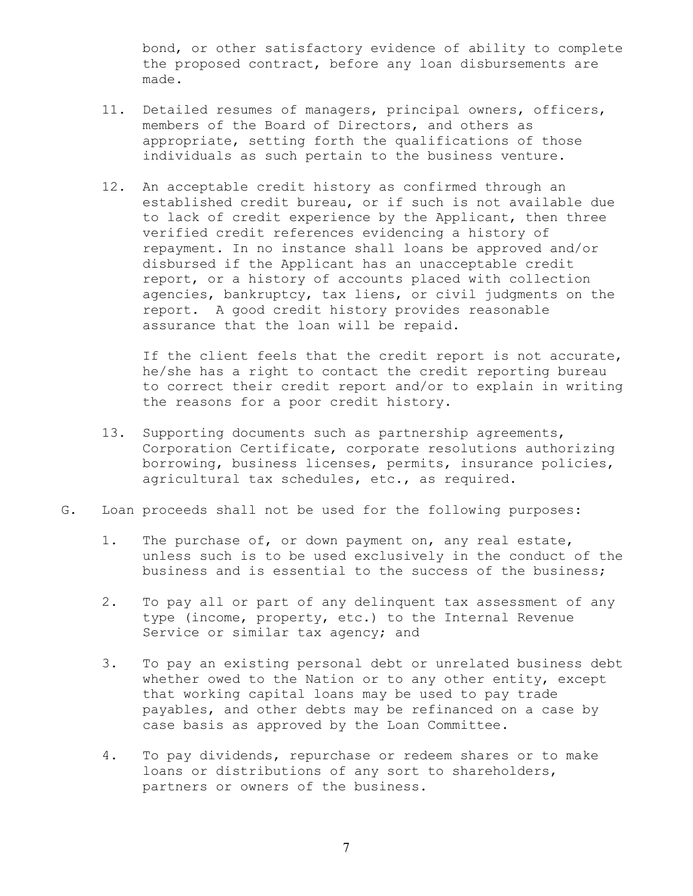bond, or other satisfactory evidence of ability to complete the proposed contract, before any loan disbursements are made.

- 11. Detailed resumes of managers, principal owners, officers, members of the Board of Directors, and others as appropriate, setting forth the qualifications of those individuals as such pertain to the business venture.
- 12. An acceptable credit history as confirmed through an established credit bureau, or if such is not available due to lack of credit experience by the Applicant, then three verified credit references evidencing a history of repayment. In no instance shall loans be approved and/or disbursed if the Applicant has an unacceptable credit report, or a history of accounts placed with collection agencies, bankruptcy, tax liens, or civil judgments on the report. A good credit history provides reasonable assurance that the loan will be repaid.

If the client feels that the credit report is not accurate, he/she has a right to contact the credit reporting bureau to correct their credit report and/or to explain in writing the reasons for a poor credit history.

- 13. Supporting documents such as partnership agreements, Corporation Certificate, corporate resolutions authorizing borrowing, business licenses, permits, insurance policies, agricultural tax schedules, etc., as required.
- G. Loan proceeds shall not be used for the following purposes:
	- 1. The purchase of, or down payment on, any real estate, unless such is to be used exclusively in the conduct of the business and is essential to the success of the business;
	- 2. To pay all or part of any delinquent tax assessment of any type (income, property, etc.) to the Internal Revenue Service or similar tax agency; and
	- 3. To pay an existing personal debt or unrelated business debt whether owed to the Nation or to any other entity, except that working capital loans may be used to pay trade payables, and other debts may be refinanced on a case by case basis as approved by the Loan Committee.
	- 4. To pay dividends, repurchase or redeem shares or to make loans or distributions of any sort to shareholders, partners or owners of the business.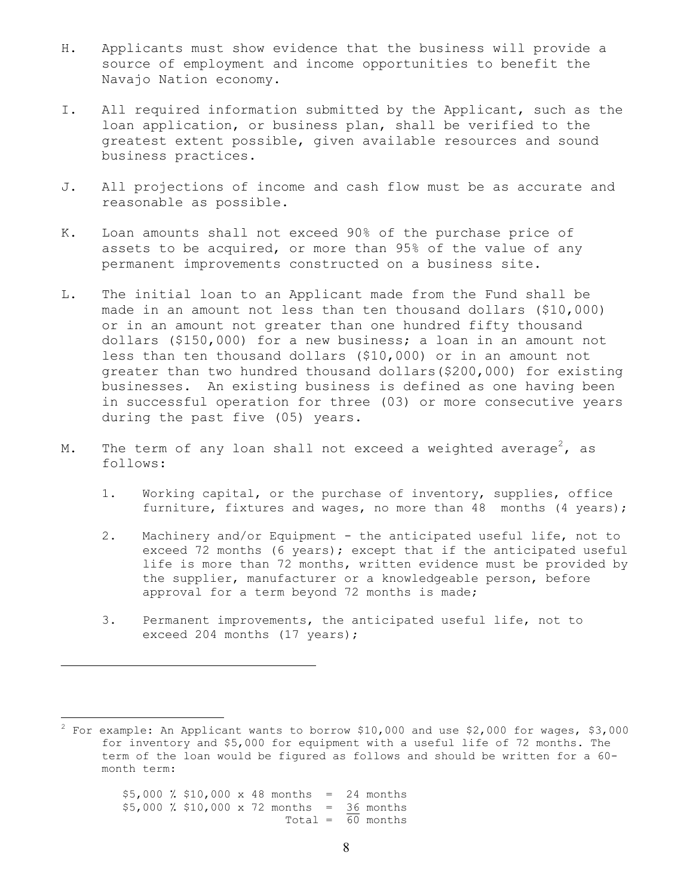- H. Applicants must show evidence that the business will provide a source of employment and income opportunities to benefit the Navajo Nation economy.
- I. All required information submitted by the Applicant, such as the loan application, or business plan, shall be verified to the greatest extent possible, given available resources and sound business practices.
- J. All projections of income and cash flow must be as accurate and reasonable as possible.
- K. Loan amounts shall not exceed 90% of the purchase price of assets to be acquired, or more than 95% of the value of any permanent improvements constructed on a business site.
- L. The initial loan to an Applicant made from the Fund shall be made in an amount not less than ten thousand dollars (\$10,000) or in an amount not greater than one hundred fifty thousand dollars (\$150,000) for a new business; a loan in an amount not less than ten thousand dollars (\$10,000) or in an amount not greater than two hundred thousand dollars(\$200,000) for existing businesses. An existing business is defined as one having been in successful operation for three (03) or more consecutive years during the past five (05) years.
- M. The term of any loan shall not exceed a weighted average $^2$ , as follows:
	- 1. Working capital, or the purchase of inventory, supplies, office furniture, fixtures and wages, no more than 48 months (4 years);
	- 2. Machinery and/or Equipment the anticipated useful life, not to exceed 72 months (6 years); except that if the anticipated useful life is more than 72 months, written evidence must be provided by the supplier, manufacturer or a knowledgeable person, before approval for a term beyond 72 months is made;
	- 3. Permanent improvements, the anticipated useful life, not to exceed 204 months (17 years);

 \$5,000 ٪ \$10,000 x 48 months = 24 months \$5,000 ٪ \$10,000 x 72 months = 36 months Total =  $\overline{60}$  months

 $\overline{a}$ 

 $^2$  For example: An Applicant wants to borrow \$10,000 and use \$2,000 for wages, \$3,000 for inventory and \$5,000 for equipment with a useful life of 72 months. The term of the loan would be figured as follows and should be written for a 60 month term: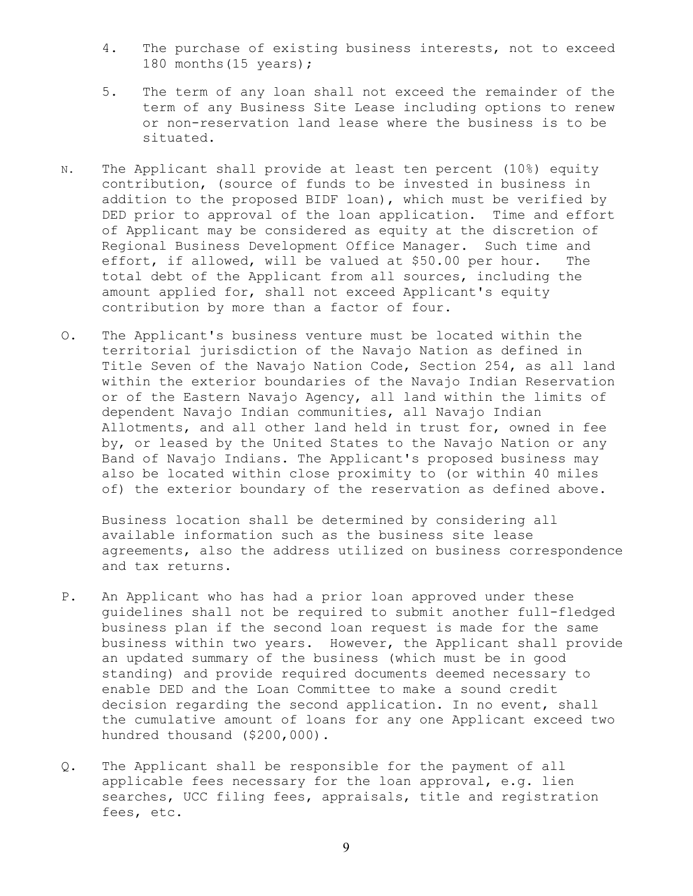- 4. The purchase of existing business interests, not to exceed 180 months(15 years);
- 5. The term of any loan shall not exceed the remainder of the term of any Business Site Lease including options to renew or non-reservation land lease where the business is to be situated.
- N. The Applicant shall provide at least ten percent (10%) equity contribution, (source of funds to be invested in business in addition to the proposed BIDF loan), which must be verified by DED prior to approval of the loan application. Time and effort of Applicant may be considered as equity at the discretion of Regional Business Development Office Manager. Such time and effort, if allowed, will be valued at \$50.00 per hour. The total debt of the Applicant from all sources, including the amount applied for, shall not exceed Applicant's equity contribution by more than a factor of four.
- O. The Applicant's business venture must be located within the territorial jurisdiction of the Navajo Nation as defined in Title Seven of the Navajo Nation Code, Section 254, as all land within the exterior boundaries of the Navajo Indian Reservation or of the Eastern Navajo Agency, all land within the limits of dependent Navajo Indian communities, all Navajo Indian Allotments, and all other land held in trust for, owned in fee by, or leased by the United States to the Navajo Nation or any Band of Navajo Indians. The Applicant's proposed business may also be located within close proximity to (or within 40 miles of) the exterior boundary of the reservation as defined above.

 Business location shall be determined by considering all available information such as the business site lease agreements, also the address utilized on business correspondence and tax returns.

- P. An Applicant who has had a prior loan approved under these guidelines shall not be required to submit another full-fledged business plan if the second loan request is made for the same business within two years. However, the Applicant shall provide an updated summary of the business (which must be in good standing) and provide required documents deemed necessary to enable DED and the Loan Committee to make a sound credit decision regarding the second application. In no event, shall the cumulative amount of loans for any one Applicant exceed two hundred thousand (\$200,000).
- Q. The Applicant shall be responsible for the payment of all applicable fees necessary for the loan approval, e.g. lien searches, UCC filing fees, appraisals, title and registration fees, etc.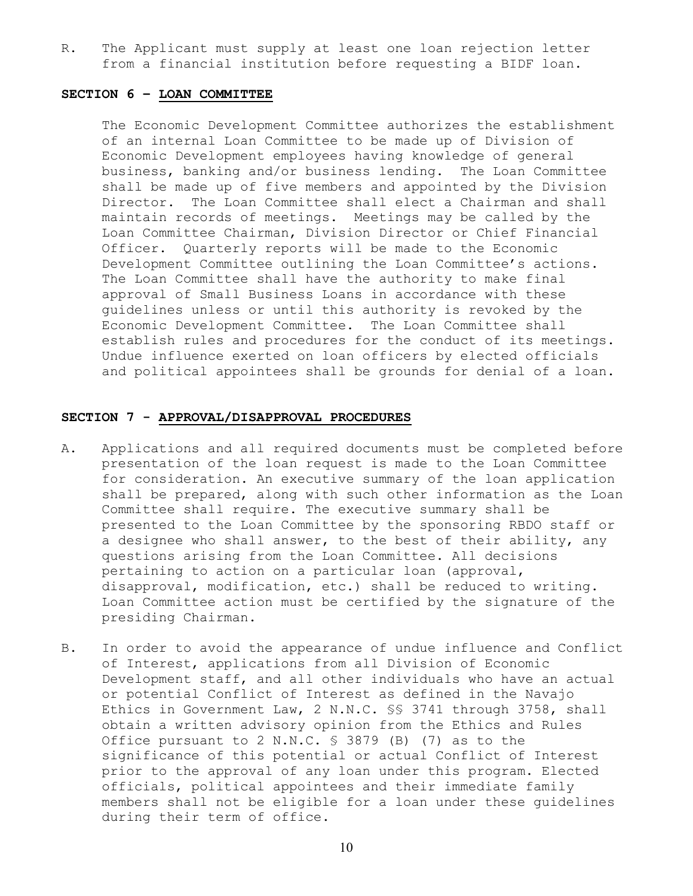R. The Applicant must supply at least one loan rejection letter from a financial institution before requesting a BIDF loan.

#### **SECTION 6 – LOAN COMMITTEE**

 The Economic Development Committee authorizes the establishment of an internal Loan Committee to be made up of Division of Economic Development employees having knowledge of general business, banking and/or business lending. The Loan Committee shall be made up of five members and appointed by the Division Director. The Loan Committee shall elect a Chairman and shall maintain records of meetings. Meetings may be called by the Loan Committee Chairman, Division Director or Chief Financial Officer. Quarterly reports will be made to the Economic Development Committee outlining the Loan Committee's actions. The Loan Committee shall have the authority to make final approval of Small Business Loans in accordance with these guidelines unless or until this authority is revoked by the Economic Development Committee. The Loan Committee shall establish rules and procedures for the conduct of its meetings. Undue influence exerted on loan officers by elected officials and political appointees shall be grounds for denial of a loan.

#### **SECTION 7 - APPROVAL/DISAPPROVAL PROCEDURES**

- A. Applications and all required documents must be completed before presentation of the loan request is made to the Loan Committee for consideration. An executive summary of the loan application shall be prepared, along with such other information as the Loan Committee shall require. The executive summary shall be presented to the Loan Committee by the sponsoring RBDO staff or a designee who shall answer, to the best of their ability, any questions arising from the Loan Committee. All decisions pertaining to action on a particular loan (approval, disapproval, modification, etc.) shall be reduced to writing. Loan Committee action must be certified by the signature of the presiding Chairman.
- B. In order to avoid the appearance of undue influence and Conflict of Interest, applications from all Division of Economic Development staff, and all other individuals who have an actual or potential Conflict of Interest as defined in the Navajo Ethics in Government Law, 2 N.N.C. §§ 3741 through 3758, shall obtain a written advisory opinion from the Ethics and Rules Office pursuant to 2 N.N.C. § 3879 (B) (7) as to the significance of this potential or actual Conflict of Interest prior to the approval of any loan under this program. Elected officials, political appointees and their immediate family members shall not be eligible for a loan under these guidelines during their term of office.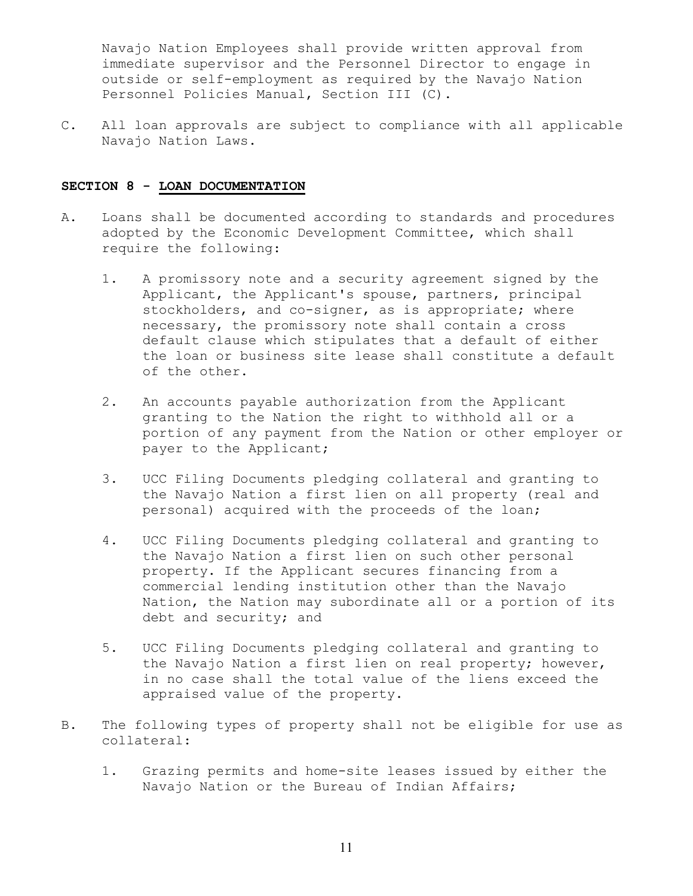Navajo Nation Employees shall provide written approval from immediate supervisor and the Personnel Director to engage in outside or self-employment as required by the Navajo Nation Personnel Policies Manual, Section III (C).

C. All loan approvals are subject to compliance with all applicable Navajo Nation Laws.

#### **SECTION 8 - LOAN DOCUMENTATION**

- A. Loans shall be documented according to standards and procedures adopted by the Economic Development Committee, which shall require the following:
	- 1. A promissory note and a security agreement signed by the Applicant, the Applicant's spouse, partners, principal stockholders, and co-signer, as is appropriate; where necessary, the promissory note shall contain a cross default clause which stipulates that a default of either the loan or business site lease shall constitute a default of the other.
	- 2. An accounts payable authorization from the Applicant granting to the Nation the right to withhold all or a portion of any payment from the Nation or other employer or payer to the Applicant;
	- 3. UCC Filing Documents pledging collateral and granting to the Navajo Nation a first lien on all property (real and personal) acquired with the proceeds of the loan;
	- 4. UCC Filing Documents pledging collateral and granting to the Navajo Nation a first lien on such other personal property. If the Applicant secures financing from a commercial lending institution other than the Navajo Nation, the Nation may subordinate all or a portion of its debt and security; and
	- 5. UCC Filing Documents pledging collateral and granting to the Navajo Nation a first lien on real property; however, in no case shall the total value of the liens exceed the appraised value of the property.
- B. The following types of property shall not be eligible for use as collateral:
	- 1. Grazing permits and home-site leases issued by either the Navajo Nation or the Bureau of Indian Affairs;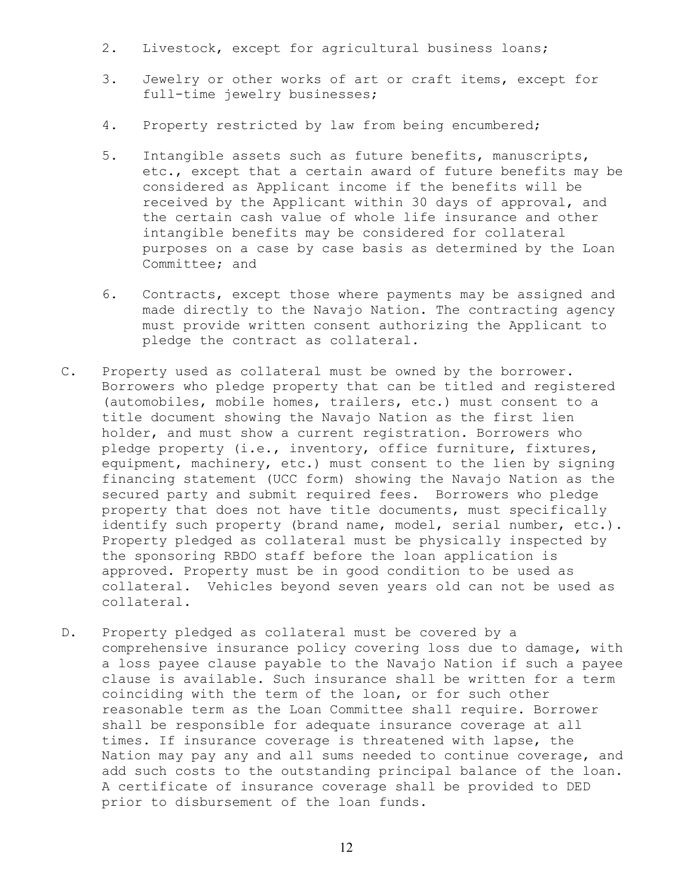- 2. Livestock, except for agricultural business loans;
- 3. Jewelry or other works of art or craft items, except for full-time jewelry businesses;
- 4. Property restricted by law from being encumbered;
- 5. Intangible assets such as future benefits, manuscripts, etc., except that a certain award of future benefits may be considered as Applicant income if the benefits will be received by the Applicant within 30 days of approval, and the certain cash value of whole life insurance and other intangible benefits may be considered for collateral purposes on a case by case basis as determined by the Loan Committee; and
- 6. Contracts, except those where payments may be assigned and made directly to the Navajo Nation. The contracting agency must provide written consent authorizing the Applicant to pledge the contract as collateral.
- C. Property used as collateral must be owned by the borrower. Borrowers who pledge property that can be titled and registered (automobiles, mobile homes, trailers, etc.) must consent to a title document showing the Navajo Nation as the first lien holder, and must show a current registration. Borrowers who pledge property (i.e., inventory, office furniture, fixtures, equipment, machinery, etc.) must consent to the lien by signing financing statement (UCC form) showing the Navajo Nation as the secured party and submit required fees. Borrowers who pledge property that does not have title documents, must specifically identify such property (brand name, model, serial number, etc.). Property pledged as collateral must be physically inspected by the sponsoring RBDO staff before the loan application is approved. Property must be in good condition to be used as collateral. Vehicles beyond seven years old can not be used as collateral.
- D. Property pledged as collateral must be covered by a comprehensive insurance policy covering loss due to damage, with a loss payee clause payable to the Navajo Nation if such a payee clause is available. Such insurance shall be written for a term coinciding with the term of the loan, or for such other reasonable term as the Loan Committee shall require. Borrower shall be responsible for adequate insurance coverage at all times. If insurance coverage is threatened with lapse, the Nation may pay any and all sums needed to continue coverage, and add such costs to the outstanding principal balance of the loan. A certificate of insurance coverage shall be provided to DED prior to disbursement of the loan funds.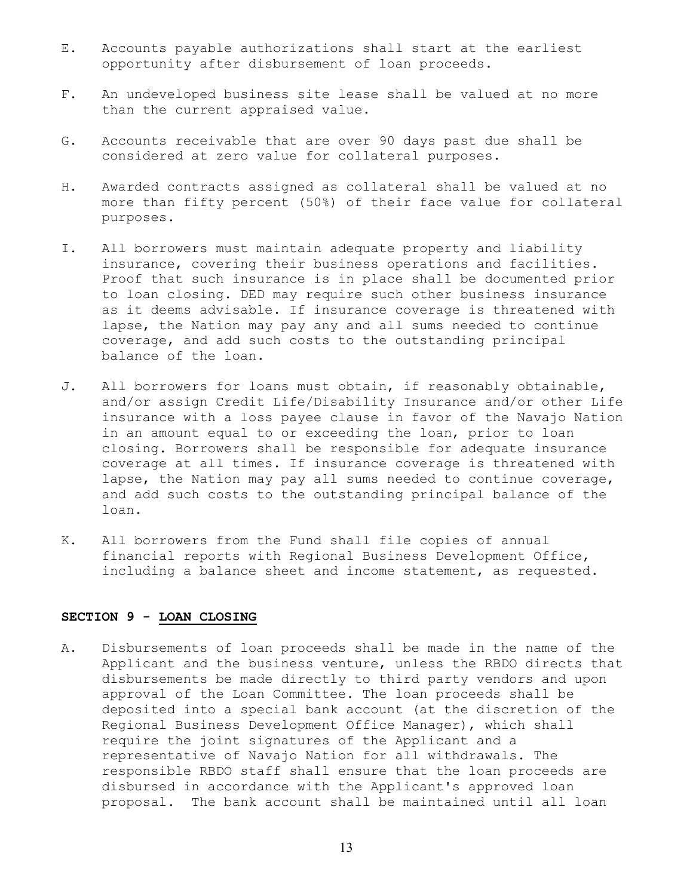- E. Accounts payable authorizations shall start at the earliest opportunity after disbursement of loan proceeds.
- F. An undeveloped business site lease shall be valued at no more than the current appraised value.
- G. Accounts receivable that are over 90 days past due shall be considered at zero value for collateral purposes.
- H. Awarded contracts assigned as collateral shall be valued at no more than fifty percent (50%) of their face value for collateral purposes.
- I. All borrowers must maintain adequate property and liability insurance, covering their business operations and facilities. Proof that such insurance is in place shall be documented prior to loan closing. DED may require such other business insurance as it deems advisable. If insurance coverage is threatened with lapse, the Nation may pay any and all sums needed to continue coverage, and add such costs to the outstanding principal balance of the loan.
- J. All borrowers for loans must obtain, if reasonably obtainable, and/or assign Credit Life/Disability Insurance and/or other Life insurance with a loss payee clause in favor of the Navajo Nation in an amount equal to or exceeding the loan, prior to loan closing. Borrowers shall be responsible for adequate insurance coverage at all times. If insurance coverage is threatened with lapse, the Nation may pay all sums needed to continue coverage, and add such costs to the outstanding principal balance of the loan.
- K. All borrowers from the Fund shall file copies of annual financial reports with Regional Business Development Office, including a balance sheet and income statement, as requested.

#### **SECTION 9 - LOAN CLOSING**

A. Disbursements of loan proceeds shall be made in the name of the Applicant and the business venture, unless the RBDO directs that disbursements be made directly to third party vendors and upon approval of the Loan Committee. The loan proceeds shall be deposited into a special bank account (at the discretion of the Regional Business Development Office Manager), which shall require the joint signatures of the Applicant and a representative of Navajo Nation for all withdrawals. The responsible RBDO staff shall ensure that the loan proceeds are disbursed in accordance with the Applicant's approved loan proposal. The bank account shall be maintained until all loan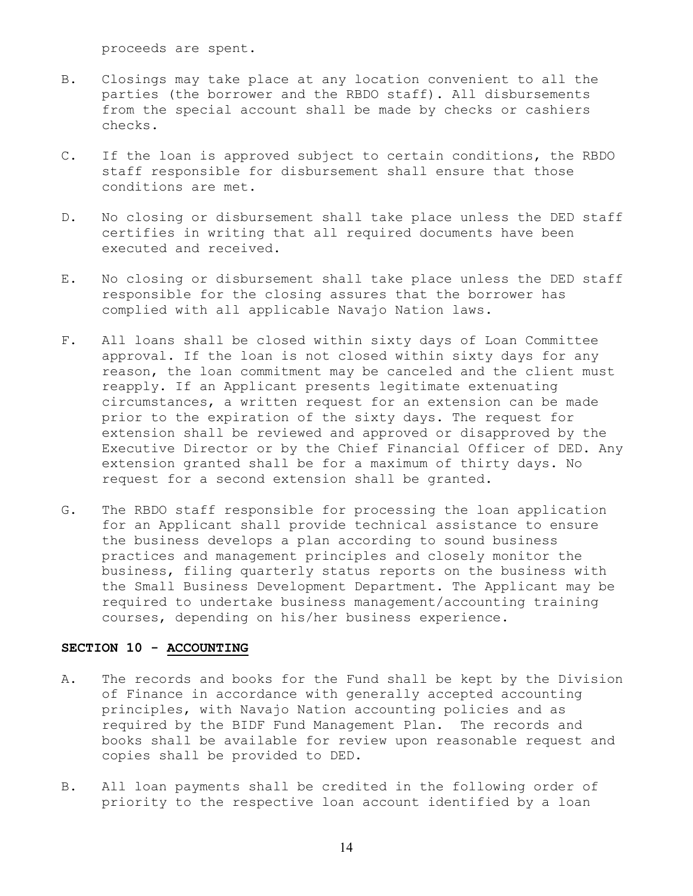proceeds are spent.

- B. Closings may take place at any location convenient to all the parties (the borrower and the RBDO staff). All disbursements from the special account shall be made by checks or cashiers checks.
- C. If the loan is approved subject to certain conditions, the RBDO staff responsible for disbursement shall ensure that those conditions are met.
- D. No closing or disbursement shall take place unless the DED staff certifies in writing that all required documents have been executed and received.
- E. No closing or disbursement shall take place unless the DED staff responsible for the closing assures that the borrower has complied with all applicable Navajo Nation laws.
- F. All loans shall be closed within sixty days of Loan Committee approval. If the loan is not closed within sixty days for any reason, the loan commitment may be canceled and the client must reapply. If an Applicant presents legitimate extenuating circumstances, a written request for an extension can be made prior to the expiration of the sixty days. The request for extension shall be reviewed and approved or disapproved by the Executive Director or by the Chief Financial Officer of DED. Any extension granted shall be for a maximum of thirty days. No request for a second extension shall be granted.
- G. The RBDO staff responsible for processing the loan application for an Applicant shall provide technical assistance to ensure the business develops a plan according to sound business practices and management principles and closely monitor the business, filing quarterly status reports on the business with the Small Business Development Department. The Applicant may be required to undertake business management/accounting training courses, depending on his/her business experience.

#### **SECTION 10 - ACCOUNTING**

- A. The records and books for the Fund shall be kept by the Division of Finance in accordance with generally accepted accounting principles, with Navajo Nation accounting policies and as required by the BIDF Fund Management Plan. The records and books shall be available for review upon reasonable request and copies shall be provided to DED.
- B. All loan payments shall be credited in the following order of priority to the respective loan account identified by a loan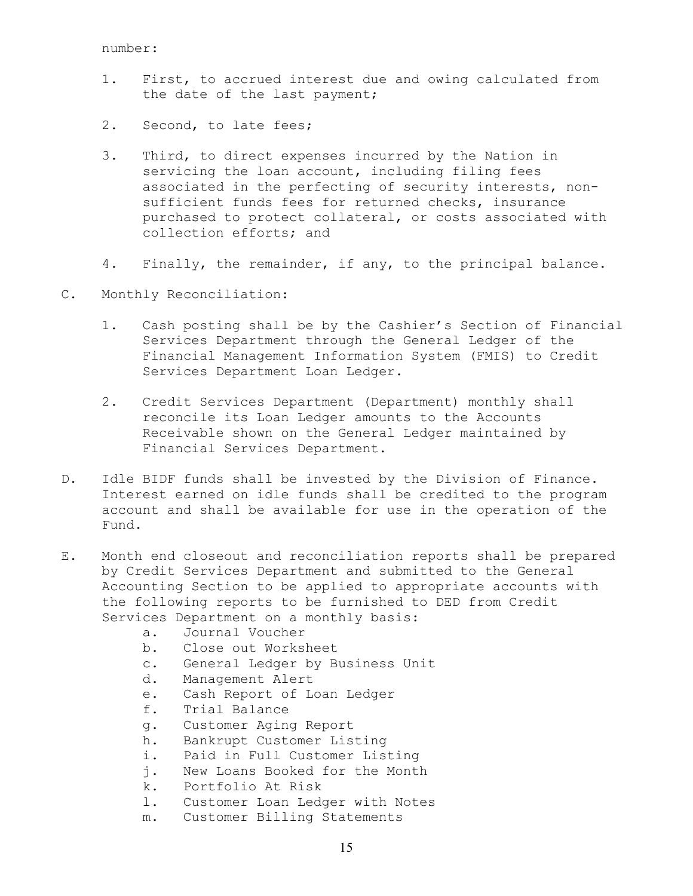- 1. First, to accrued interest due and owing calculated from the date of the last payment;
- 2. Second, to late fees;
- 3. Third, to direct expenses incurred by the Nation in servicing the loan account, including filing fees associated in the perfecting of security interests, nonsufficient funds fees for returned checks, insurance purchased to protect collateral, or costs associated with collection efforts; and
- 4. Finally, the remainder, if any, to the principal balance.
- C. Monthly Reconciliation:
	- 1. Cash posting shall be by the Cashier's Section of Financial Services Department through the General Ledger of the Financial Management Information System (FMIS) to Credit Services Department Loan Ledger.
	- 2. Credit Services Department (Department) monthly shall reconcile its Loan Ledger amounts to the Accounts Receivable shown on the General Ledger maintained by Financial Services Department.
- D. Idle BIDF funds shall be invested by the Division of Finance. Interest earned on idle funds shall be credited to the program account and shall be available for use in the operation of the Fund.
- E. Month end closeout and reconciliation reports shall be prepared by Credit Services Department and submitted to the General Accounting Section to be applied to appropriate accounts with the following reports to be furnished to DED from Credit Services Department on a monthly basis:
	- a. Journal Voucher
	- b. Close out Worksheet
	- c. General Ledger by Business Unit
	- d. Management Alert
	- e. Cash Report of Loan Ledger
	- f. Trial Balance
	- g. Customer Aging Report
	- h. Bankrupt Customer Listing
	- i. Paid in Full Customer Listing
	- j. New Loans Booked for the Month
	- k. Portfolio At Risk
	- l. Customer Loan Ledger with Notes
	- m. Customer Billing Statements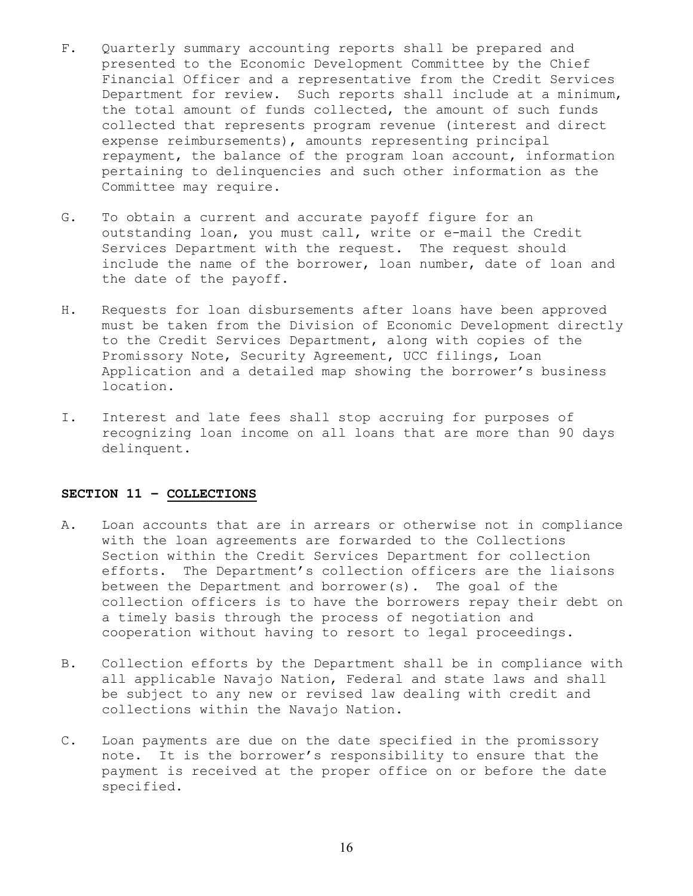- F. Quarterly summary accounting reports shall be prepared and presented to the Economic Development Committee by the Chief Financial Officer and a representative from the Credit Services Department for review. Such reports shall include at a minimum, the total amount of funds collected, the amount of such funds collected that represents program revenue (interest and direct expense reimbursements), amounts representing principal repayment, the balance of the program loan account, information pertaining to delinquencies and such other information as the Committee may require.
- G. To obtain a current and accurate payoff figure for an outstanding loan, you must call, write or e-mail the Credit Services Department with the request. The request should include the name of the borrower, loan number, date of loan and the date of the payoff.
- H. Requests for loan disbursements after loans have been approved must be taken from the Division of Economic Development directly to the Credit Services Department, along with copies of the Promissory Note, Security Agreement, UCC filings, Loan Application and a detailed map showing the borrower's business location.
- I. Interest and late fees shall stop accruing for purposes of recognizing loan income on all loans that are more than 90 days delinquent.

#### **SECTION 11 – COLLECTIONS**

- A. Loan accounts that are in arrears or otherwise not in compliance with the loan agreements are forwarded to the Collections Section within the Credit Services Department for collection efforts. The Department's collection officers are the liaisons between the Department and borrower(s). The goal of the collection officers is to have the borrowers repay their debt on a timely basis through the process of negotiation and cooperation without having to resort to legal proceedings.
- B. Collection efforts by the Department shall be in compliance with all applicable Navajo Nation, Federal and state laws and shall be subject to any new or revised law dealing with credit and collections within the Navajo Nation.
- C. Loan payments are due on the date specified in the promissory note. It is the borrower's responsibility to ensure that the payment is received at the proper office on or before the date specified.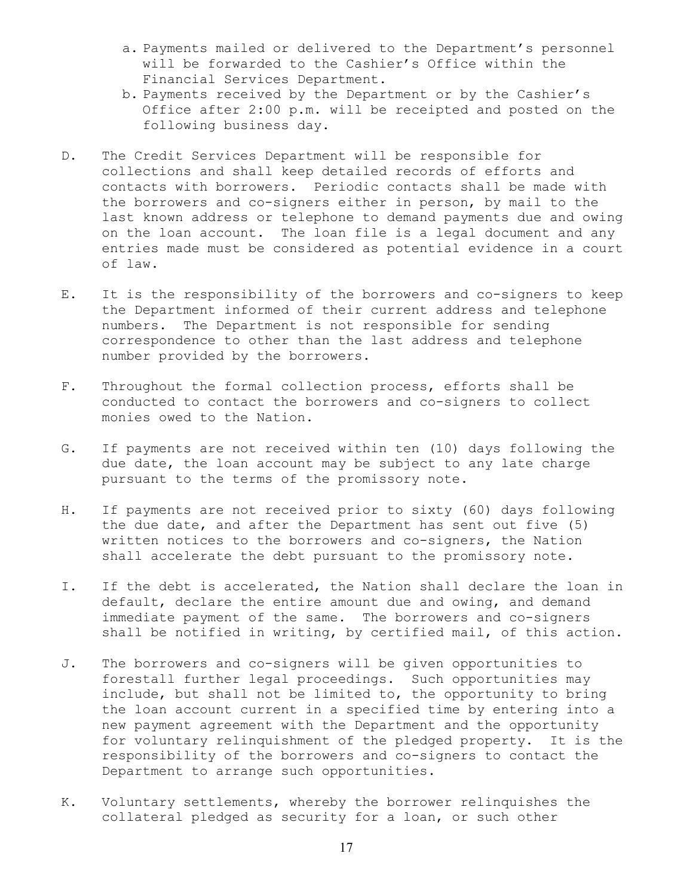- a. Payments mailed or delivered to the Department's personnel will be forwarded to the Cashier's Office within the Financial Services Department.
- b. Payments received by the Department or by the Cashier's Office after 2:00 p.m. will be receipted and posted on the following business day.
- D. The Credit Services Department will be responsible for collections and shall keep detailed records of efforts and contacts with borrowers. Periodic contacts shall be made with the borrowers and co-signers either in person, by mail to the last known address or telephone to demand payments due and owing on the loan account. The loan file is a legal document and any entries made must be considered as potential evidence in a court of law.
- E. It is the responsibility of the borrowers and co-signers to keep the Department informed of their current address and telephone numbers. The Department is not responsible for sending correspondence to other than the last address and telephone number provided by the borrowers.
- F. Throughout the formal collection process, efforts shall be conducted to contact the borrowers and co-signers to collect monies owed to the Nation.
- G. If payments are not received within ten (10) days following the due date, the loan account may be subject to any late charge pursuant to the terms of the promissory note.
- H. If payments are not received prior to sixty (60) days following the due date, and after the Department has sent out five (5) written notices to the borrowers and co-signers, the Nation shall accelerate the debt pursuant to the promissory note.
- I. If the debt is accelerated, the Nation shall declare the loan in default, declare the entire amount due and owing, and demand immediate payment of the same. The borrowers and co-signers shall be notified in writing, by certified mail, of this action.
- J. The borrowers and co-signers will be given opportunities to forestall further legal proceedings. Such opportunities may include, but shall not be limited to, the opportunity to bring the loan account current in a specified time by entering into a new payment agreement with the Department and the opportunity for voluntary relinquishment of the pledged property. It is the responsibility of the borrowers and co-signers to contact the Department to arrange such opportunities.
- K. Voluntary settlements, whereby the borrower relinquishes the collateral pledged as security for a loan, or such other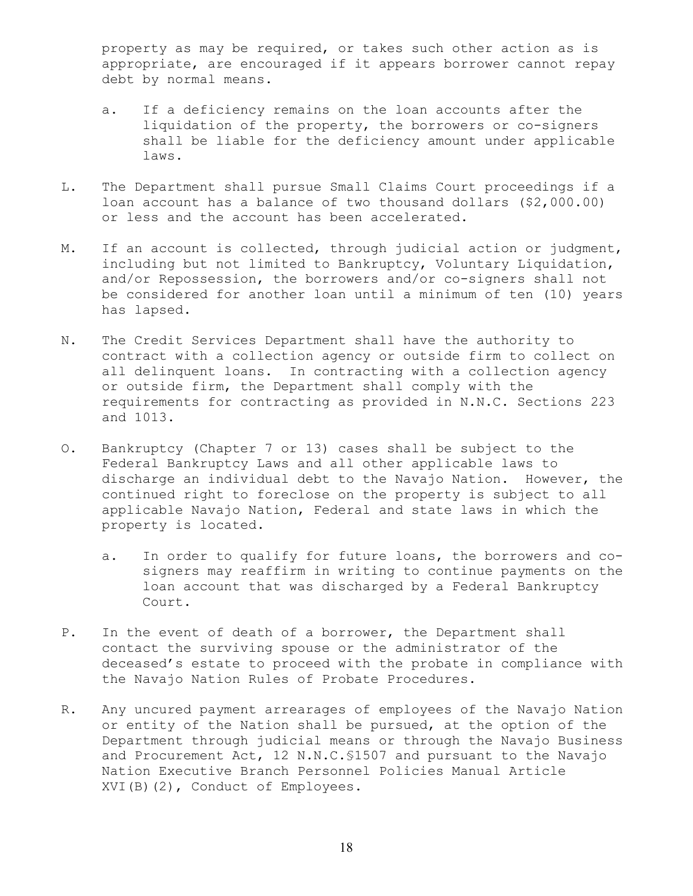property as may be required, or takes such other action as is appropriate, are encouraged if it appears borrower cannot repay debt by normal means.

- a. If a deficiency remains on the loan accounts after the liquidation of the property, the borrowers or co-signers shall be liable for the deficiency amount under applicable laws.
- L. The Department shall pursue Small Claims Court proceedings if a loan account has a balance of two thousand dollars (\$2,000.00) or less and the account has been accelerated.
- M. If an account is collected, through judicial action or judgment, including but not limited to Bankruptcy, Voluntary Liquidation, and/or Repossession, the borrowers and/or co-signers shall not be considered for another loan until a minimum of ten (10) years has lapsed.
- N. The Credit Services Department shall have the authority to contract with a collection agency or outside firm to collect on all delinquent loans. In contracting with a collection agency or outside firm, the Department shall comply with the requirements for contracting as provided in N.N.C. Sections 223 and 1013.
- O. Bankruptcy (Chapter 7 or 13) cases shall be subject to the Federal Bankruptcy Laws and all other applicable laws to discharge an individual debt to the Navajo Nation. However, the continued right to foreclose on the property is subject to all applicable Navajo Nation, Federal and state laws in which the property is located.
	- a. In order to qualify for future loans, the borrowers and cosigners may reaffirm in writing to continue payments on the loan account that was discharged by a Federal Bankruptcy Court.
- P. In the event of death of a borrower, the Department shall contact the surviving spouse or the administrator of the deceased's estate to proceed with the probate in compliance with the Navajo Nation Rules of Probate Procedures.
- R. Any uncured payment arrearages of employees of the Navajo Nation or entity of the Nation shall be pursued, at the option of the Department through judicial means or through the Navajo Business and Procurement Act, 12 N.N.C.§1507 and pursuant to the Navajo Nation Executive Branch Personnel Policies Manual Article XVI(B)(2), Conduct of Employees.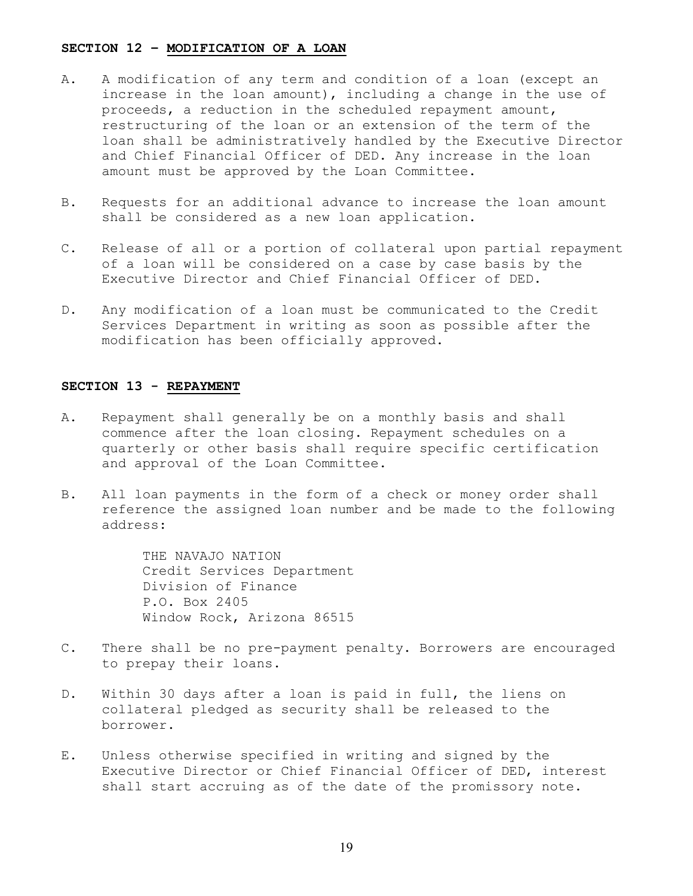#### **SECTION 12 – MODIFICATION OF A LOAN**

- A. A modification of any term and condition of a loan (except an increase in the loan amount), including a change in the use of proceeds, a reduction in the scheduled repayment amount, restructuring of the loan or an extension of the term of the loan shall be administratively handled by the Executive Director and Chief Financial Officer of DED. Any increase in the loan amount must be approved by the Loan Committee.
- B. Requests for an additional advance to increase the loan amount shall be considered as a new loan application.
- C. Release of all or a portion of collateral upon partial repayment of a loan will be considered on a case by case basis by the Executive Director and Chief Financial Officer of DED.
- D. Any modification of a loan must be communicated to the Credit Services Department in writing as soon as possible after the modification has been officially approved.

### **SECTION 13 - REPAYMENT**

- A. Repayment shall generally be on a monthly basis and shall commence after the loan closing. Repayment schedules on a quarterly or other basis shall require specific certification and approval of the Loan Committee.
- B. All loan payments in the form of a check or money order shall reference the assigned loan number and be made to the following address:

 THE NAVAJO NATION Credit Services Department Division of Finance P.O. Box 2405 Window Rock, Arizona 86515

- C. There shall be no pre-payment penalty. Borrowers are encouraged to prepay their loans.
- D. Within 30 days after a loan is paid in full, the liens on collateral pledged as security shall be released to the borrower.
- E. Unless otherwise specified in writing and signed by the Executive Director or Chief Financial Officer of DED, interest shall start accruing as of the date of the promissory note.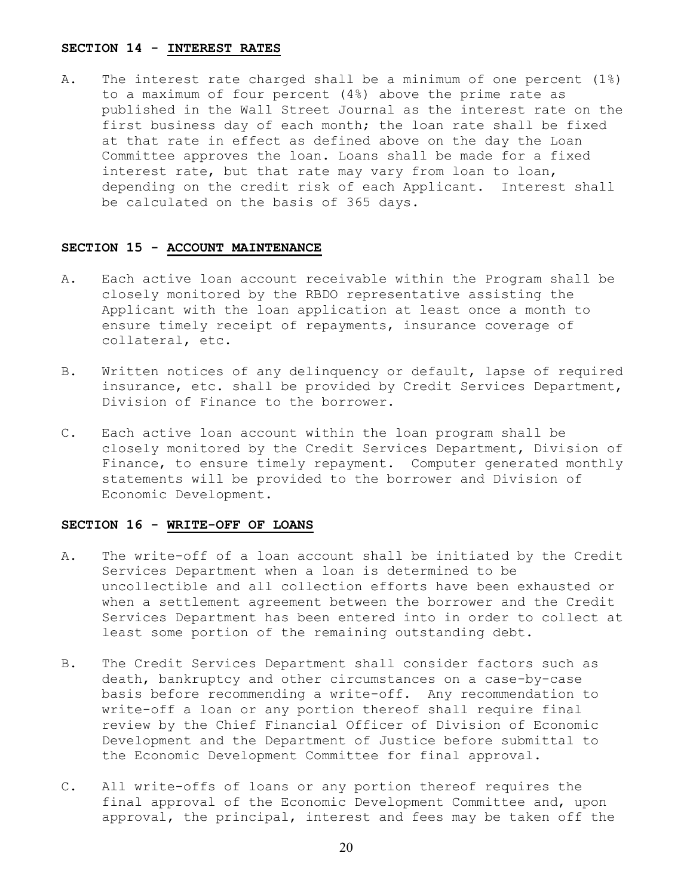#### **SECTION 14 - INTEREST RATES**

A. The interest rate charged shall be a minimum of one percent (1%) to a maximum of four percent (4%) above the prime rate as published in the Wall Street Journal as the interest rate on the first business day of each month; the loan rate shall be fixed at that rate in effect as defined above on the day the Loan Committee approves the loan. Loans shall be made for a fixed interest rate, but that rate may vary from loan to loan, depending on the credit risk of each Applicant. Interest shall be calculated on the basis of 365 days.

#### **SECTION 15 - ACCOUNT MAINTENANCE**

- A. Each active loan account receivable within the Program shall be closely monitored by the RBDO representative assisting the Applicant with the loan application at least once a month to ensure timely receipt of repayments, insurance coverage of collateral, etc.
- B. Written notices of any delinquency or default, lapse of required insurance, etc. shall be provided by Credit Services Department, Division of Finance to the borrower.
- C. Each active loan account within the loan program shall be closely monitored by the Credit Services Department, Division of Finance, to ensure timely repayment. Computer generated monthly statements will be provided to the borrower and Division of Economic Development.

### **SECTION 16 - WRITE-OFF OF LOANS**

- A. The write-off of a loan account shall be initiated by the Credit Services Department when a loan is determined to be uncollectible and all collection efforts have been exhausted or when a settlement agreement between the borrower and the Credit Services Department has been entered into in order to collect at least some portion of the remaining outstanding debt.
- B. The Credit Services Department shall consider factors such as death, bankruptcy and other circumstances on a case-by-case basis before recommending a write-off. Any recommendation to write-off a loan or any portion thereof shall require final review by the Chief Financial Officer of Division of Economic Development and the Department of Justice before submittal to the Economic Development Committee for final approval.
- C. All write-offs of loans or any portion thereof requires the final approval of the Economic Development Committee and, upon approval, the principal, interest and fees may be taken off the